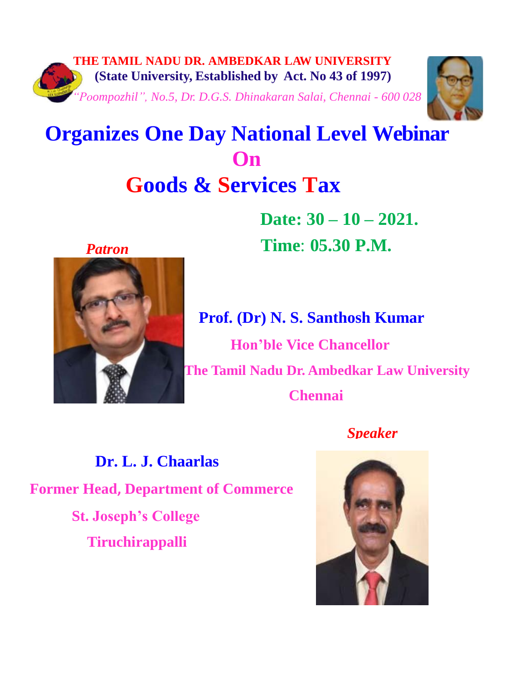



 **Date: 30 – 10 – 2021.** *Patron* **Time**: **05.30 P.M.**



**Prof. (Dr) N. S. Santhosh Kumar Hon'ble Vice Chancellor The Tamil Nadu Dr. Ambedkar Law University Chennai**

*Speaker*

**Dr. L. J. Chaarlas Former Head, Department of Commerce St. Joseph's College Tiruchirappalli**

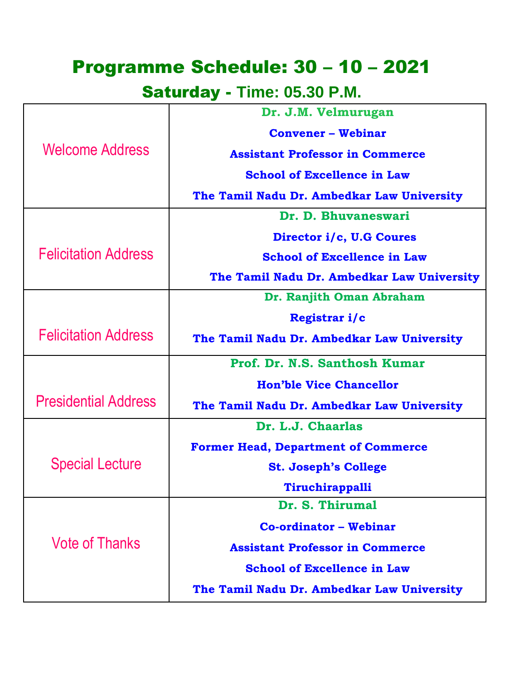## Programme Schedule: 30 – 10 – 2021

Saturday - **Time: 05.30 P.M.**

| <b>Welcome Address</b>      | Dr. J.M. Velmurugan                        |
|-----------------------------|--------------------------------------------|
|                             | <b>Convener - Webinar</b>                  |
|                             | <b>Assistant Professor in Commerce</b>     |
|                             | <b>School of Excellence in Law</b>         |
|                             | The Tamil Nadu Dr. Ambedkar Law University |
| <b>Felicitation Address</b> | Dr. D. Bhuvaneswari                        |
|                             | Director i/c, U.G Coures                   |
|                             | <b>School of Excellence in Law</b>         |
|                             | The Tamil Nadu Dr. Ambedkar Law University |
|                             | Dr. Ranjith Oman Abraham                   |
|                             | Registrar i/c                              |
| <b>Felicitation Address</b> | The Tamil Nadu Dr. Ambedkar Law University |
|                             | Prof. Dr. N.S. Santhosh Kumar              |
| <b>Presidential Address</b> | <b>Hon'ble Vice Chancellor</b>             |
|                             | The Tamil Nadu Dr. Ambedkar Law University |
|                             | Dr. L.J. Chaarlas                          |
| <b>Special Lecture</b>      | <b>Former Head, Department of Commerce</b> |
|                             | <b>St. Joseph's College</b>                |
|                             | Tiruchirappalli                            |
| <b>Vote of Thanks</b>       | Dr. S. Thirumal                            |
|                             | <b>Co-ordinator - Webinar</b>              |
|                             | <b>Assistant Professor in Commerce</b>     |
|                             | <b>School of Excellence in Law</b>         |
|                             | The Tamil Nadu Dr. Ambedkar Law University |
|                             |                                            |